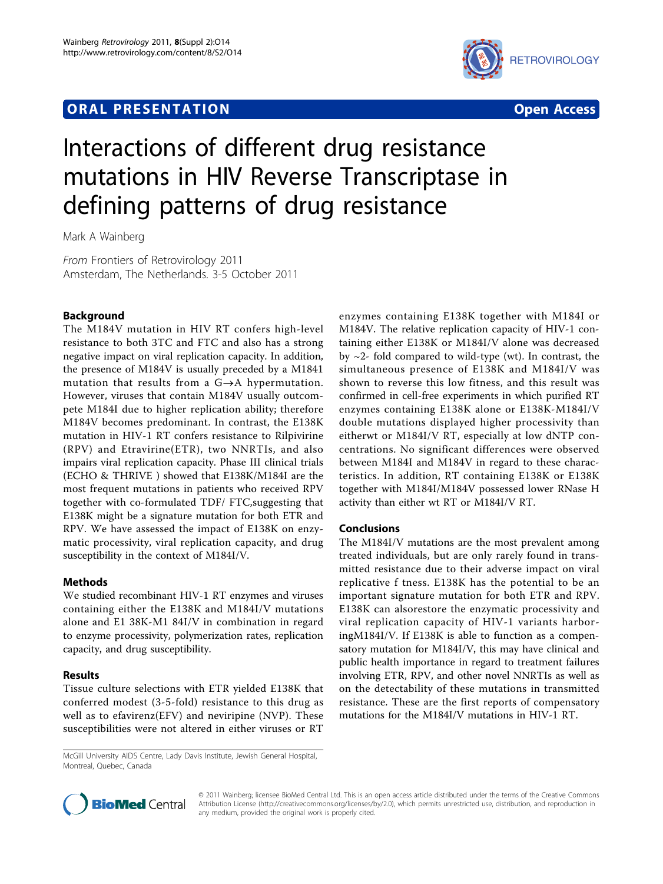## **ORAL PRESENTATION OPEN ACCESS**



# Interactions of different drug resistance mutations in HIV Reverse Transcriptase in defining patterns of drug resistance

Mark A Wainberg

From Frontiers of Retrovirology 2011 Amsterdam, The Netherlands. 3-5 October 2011

### Background

The M184V mutation in HIV RT confers high-level resistance to both 3TC and FTC and also has a strong negative impact on viral replication capacity. In addition, the presence of M184V is usually preceded by a M1841 mutation that results from a  $G \rightarrow A$  hypermutation. However, viruses that contain M184V usually outcompete M184I due to higher replication ability; therefore M184V becomes predominant. In contrast, the E138K mutation in HIV-1 RT confers resistance to Rilpivirine (RPV) and Etravirine(ETR), two NNRTIs, and also impairs viral replication capacity. Phase III clinical trials (ECHO & THRIVE ) showed that E138K/M184I are the most frequent mutations in patients who received RPV together with co-formulated TDF/ FTC,suggesting that E138K might be a signature mutation for both ETR and RPV. We have assessed the impact of E138K on enzymatic processivity, viral replication capacity, and drug susceptibility in the context of M184I/V.

#### Methods

We studied recombinant HIV-1 RT enzymes and viruses containing either the E138K and M184I/V mutations alone and E1 38K-M1 84I/V in combination in regard to enzyme processivity, polymerization rates, replication capacity, and drug susceptibility.

#### Results

Tissue culture selections with ETR yielded E138K that conferred modest (3-5-fold) resistance to this drug as well as to efavirenz(EFV) and neviripine (NVP). These susceptibilities were not altered in either viruses or RT

McGill University AIDS Centre, Lady Davis Institute, Jewish General Hospital, Montreal, Quebec, Canada

enzymes containing E138K together with M184I or M184V. The relative replication capacity of HIV-1 containing either E138K or M184I/V alone was decreased by  $\sim$ 2- fold compared to wild-type (wt). In contrast, the simultaneous presence of E138K and M184I/V was shown to reverse this low fitness, and this result was confirmed in cell-free experiments in which purified RT enzymes containing E138K alone or E138K-M184I/V double mutations displayed higher processivity than eitherwt or M184I/V RT, especially at low dNTP concentrations. No significant differences were observed between M184I and M184V in regard to these characteristics. In addition, RT containing E138K or E138K together with M184I/M184V possessed lower RNase H activity than either wt RT or M184I/V RT.

#### Conclusions

The M184I/V mutations are the most prevalent among treated individuals, but are only rarely found in transmitted resistance due to their adverse impact on viral replicative f tness. E138K has the potential to be an important signature mutation for both ETR and RPV. E138K can alsorestore the enzymatic processivity and viral replication capacity of HIV-1 variants harboringM184I/V. If E138K is able to function as a compensatory mutation for M184I/V, this may have clinical and public health importance in regard to treatment failures involving ETR, RPV, and other novel NNRTIs as well as on the detectability of these mutations in transmitted resistance. These are the first reports of compensatory mutations for the M184I/V mutations in HIV-1 RT.



© 2011 Wainberg; licensee BioMed Central Ltd. This is an open access article distributed under the terms of the Creative Commons Attribution License [\(http://creativecommons.org/licenses/by/2.0](http://creativecommons.org/licenses/by/2.0)), which permits unrestricted use, distribution, and reproduction in any medium, provided the original work is properly cited.